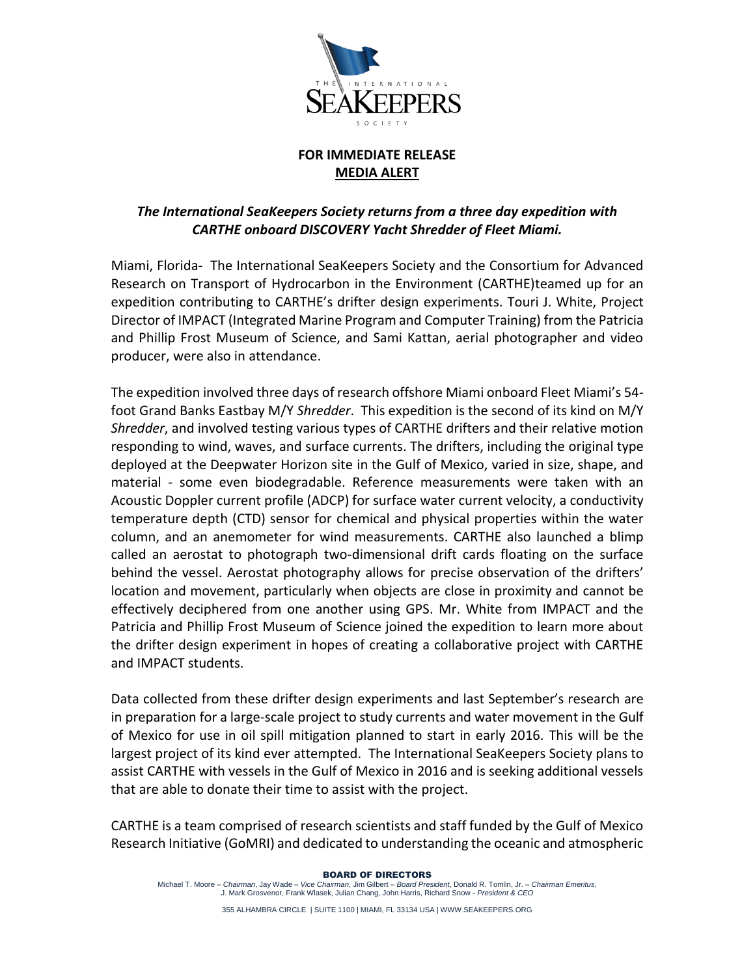

## **FOR IMMEDIATE RELEASE MEDIA ALERT**

## *The International SeaKeepers Society returns from a three day expedition with CARTHE onboard DISCOVERY Yacht Shredder of Fleet Miami.*

Miami, Florida- The International SeaKeepers Society and the Consortium for Advanced Research on Transport of Hydrocarbon in the Environment (CARTHE)teamed up for an expedition contributing to CARTHE's drifter design experiments. Touri J. White, Project Director of IMPACT (Integrated Marine Program and Computer Training) from the Patricia and Phillip Frost Museum of Science, and Sami Kattan, aerial photographer and video producer, were also in attendance.

The expedition involved three days of research offshore Miami onboard Fleet Miami's 54 foot Grand Banks Eastbay M/Y *Shredder*. This expedition is the second of its kind on M/Y *Shredder*, and involved testing various types of CARTHE drifters and their relative motion responding to wind, waves, and surface currents. The drifters, including the original type deployed at the Deepwater Horizon site in the Gulf of Mexico, varied in size, shape, and material - some even biodegradable. Reference measurements were taken with an Acoustic Doppler current profile (ADCP) for surface water current velocity, a conductivity temperature depth (CTD) sensor for chemical and physical properties within the water column, and an anemometer for wind measurements. CARTHE also launched a blimp called an aerostat to photograph two-dimensional drift cards floating on the surface behind the vessel. Aerostat photography allows for precise observation of the drifters' location and movement, particularly when objects are close in proximity and cannot be effectively deciphered from one another using GPS. Mr. White from IMPACT and the Patricia and Phillip Frost Museum of Science joined the expedition to learn more about the drifter design experiment in hopes of creating a collaborative project with CARTHE and IMPACT students.

Data collected from these drifter design experiments and last September's research are in preparation for a large-scale project to study currents and water movement in the Gulf of Mexico for use in oil spill mitigation planned to start in early 2016. This will be the largest project of its kind ever attempted. The International SeaKeepers Society plans to assist CARTHE with vessels in the Gulf of Mexico in 2016 and is seeking additional vessels that are able to donate their time to assist with the project.

CARTHE is a team comprised of research scientists and staff funded by the Gulf of Mexico Research Initiative (GoMRI) and dedicated to understanding the oceanic and atmospheric

## BOARD OF DIRECTORS

355 ALHAMBRA CIRCLE | SUITE 1100 | MIAMI, FL 33134 USA | WWW.SEAKEEPERS.ORG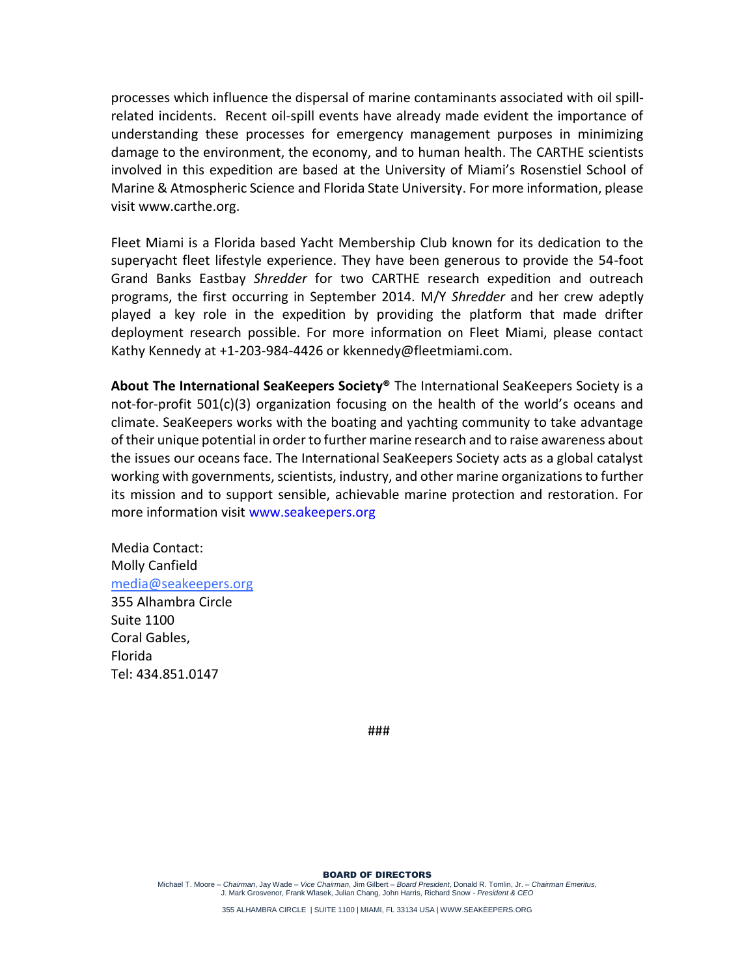processes which influence the dispersal of marine contaminants associated with oil spillrelated incidents. Recent oil-spill events have already made evident the importance of understanding these processes for emergency management purposes in minimizing damage to the environment, the economy, and to human health. The CARTHE scientists involved in this expedition are based at the University of Miami's Rosenstiel School of Marine & Atmospheric Science and Florida State University. For more information, please visit www.carthe.org.

Fleet Miami is a Florida based Yacht Membership Club known for its dedication to the superyacht fleet lifestyle experience. They have been generous to provide the 54-foot Grand Banks Eastbay *Shredder* for two CARTHE research expedition and outreach programs, the first occurring in September 2014. M/Y *Shredder* and her crew adeptly played a key role in the expedition by providing the platform that made drifter deployment research possible. For more information on Fleet Miami, please contact Kathy Kennedy at +1-203-984-4426 or kkennedy@fleetmiami.com.

**About The International SeaKeepers Society®** The International SeaKeepers Society is a not-for-profit 501(c)(3) organization focusing on the health of the world's oceans and climate. SeaKeepers works with the boating and yachting community to take advantage of their unique potential in order to further marine research and to raise awareness about the issues our oceans face. The International SeaKeepers Society acts as a global catalyst working with governments, scientists, industry, and other marine organizations to further its mission and to support sensible, achievable marine protection and restoration. For more information visit www.seakeepers.org

Media Contact: Molly Canfield [media@seakeepers.org](mailto:media@seakeepers.org) 355 Alhambra Circle Suite 1100 Coral Gables, Florida Tel: 434.851.0147

###

BOARD OF DIRECTORS

Michael T. Moore – *Chairman*, Jay Wade – *Vice Chairman*, Jim Gilbert – *Board President*, Donald R. Tomlin, Jr. – *Chairman Emeritus*, J. Mark Grosvenor, Frank Wlasek, Julian Chang, John Harris, Richard Snow - *President & CEO*